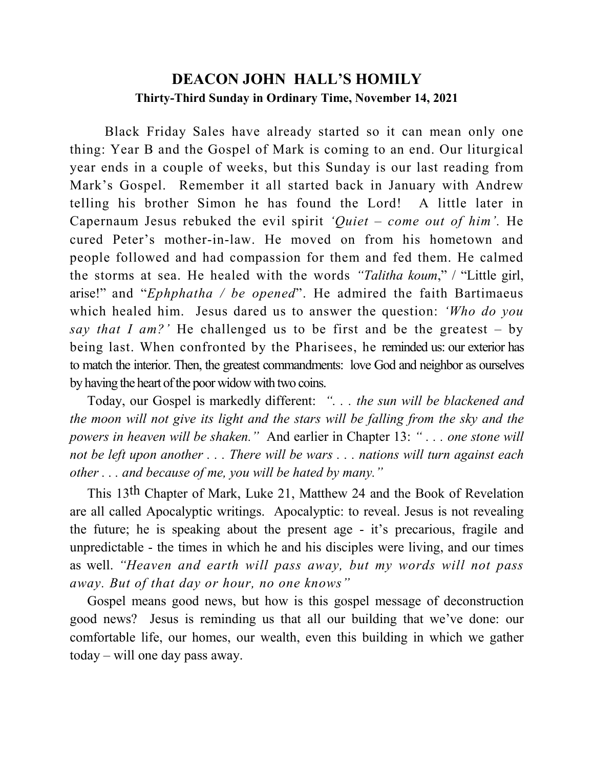## **DEACON JOHN HALL'S HOMILY Thirty-Third Sunday in Ordinary Time, November 14, 2021**

 Black Friday Sales have already started so it can mean only one thing: Year B and the Gospel of Mark is coming to an end. Our liturgical year ends in a couple of weeks, but this Sunday is our last reading from Mark's Gospel. Remember it all started back in January with Andrew telling his brother Simon he has found the Lord! A little later in Capernaum Jesus rebuked the evil spirit *'Quiet – come out of him'.* He cured Peter's mother-in-law. He moved on from his hometown and people followed and had compassion for them and fed them. He calmed the storms at sea. He healed with the words *"Talitha koum*," / "Little girl, arise!" and "*Ephphatha / be opened*". He admired the faith Bartimaeus which healed him. Jesus dared us to answer the question: *'Who do you say that I am?'* He challenged us to be first and be the greatest – by being last. When confronted by the Pharisees, he reminded us: our exterior has to match the interior. Then, the greatest commandments: love God and neighbor as ourselves by having the heart of the poor widow with two coins.

 Today, our Gospel is markedly different: *". . . the sun will be blackened and the moon will not give its light and the stars will be falling from the sky and the powers in heaven will be shaken."* And earlier in Chapter 13: *" . . . one stone will not be left upon another . . . There will be wars . . . nations will turn against each other . . . and because of me, you will be hated by many."*

 This 13th Chapter of Mark, Luke 21, Matthew 24 and the Book of Revelation are all called Apocalyptic writings. Apocalyptic: to reveal. Jesus is not revealing the future; he is speaking about the present age - it's precarious, fragile and unpredictable - the times in which he and his disciples were living, and our times as well. *"Heaven and earth will pass away, but my words will not pass away. But of that day or hour, no one knows"*

 Gospel means good news, but how is this gospel message of deconstruction good news? Jesus is reminding us that all our building that we've done: our comfortable life, our homes, our wealth, even this building in which we gather today – will one day pass away.